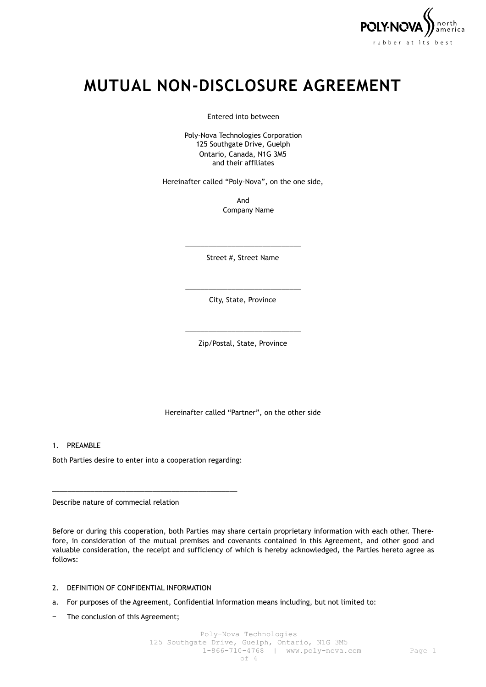

# **MUTUAL NON-DISCLOSURE AGREEMENT**

Entered into between

Poly-Nova Technologies Corporation 125 Southgate Drive, Guelph Ontario, Canada, N1G 3M5 and their affiliates

Hereinafter called "Poly-Nova", on the one side,

And Company Name

\_\_\_\_\_\_\_\_\_\_\_\_\_\_\_\_\_\_\_\_\_\_\_\_\_\_\_\_\_\_ Street #, Street Name

\_\_\_\_\_\_\_\_\_\_\_\_\_\_\_\_\_\_\_\_\_\_\_\_\_\_\_\_\_\_ City, State, Province

\_\_\_\_\_\_\_\_\_\_\_\_\_\_\_\_\_\_\_\_\_\_\_\_\_\_\_\_\_\_ Zip/Postal, State, Province

Hereinafter called "Partner", on the other side

1. PREAMBLE

Both Parties desire to enter into a cooperation regarding:

\_\_\_\_\_\_\_\_\_\_\_\_\_\_\_\_\_\_\_\_\_\_\_\_\_\_\_\_\_\_\_\_\_\_\_\_\_\_\_\_\_\_\_\_\_\_\_\_

Describe nature of commecial relation

Before or during this cooperation, both Parties may share certain proprietary information with each other. Therefore, in consideration of the mutual premises and covenants contained in this Agreement, and other good and valuable consideration, the receipt and sufficiency of which is hereby acknowledged, the Parties hereto agree as follows:

- 2. DEFINITION OF CONFIDENTIAL INFORMATION
- a. For purposes of the Agreement, Confidential Information means including, but not limited to:
- − The conclusion of this Agreement;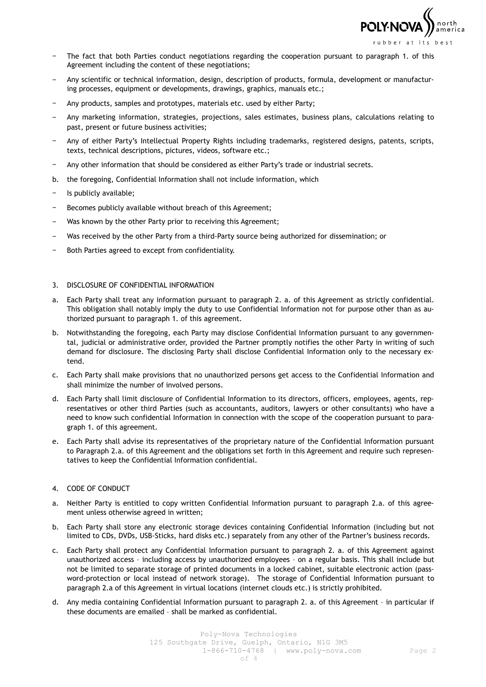

- The fact that both Parties conduct negotiations regarding the cooperation pursuant to paragraph 1. of this Agreement including the content of these negotiations;
- − Any scientific or technical information, design, description of products, formula, development or manufacturing processes, equipment or developments, drawings, graphics, manuals etc.;
- Any products, samples and prototypes, materials etc. used by either Party;
- − Any marketing information, strategies, projections, sales estimates, business plans, calculations relating to past, present or future business activities;
- − Any of either Party's Intellectual Property Rights including trademarks, registered designs, patents, scripts, texts, technical descriptions, pictures, videos, software etc.;
- Any other information that should be considered as either Party's trade or industrial secrets.
- b. the foregoing, Confidential Information shall not include information, which
- − Is publicly available;
- − Becomes publicly available without breach of this Agreement;
- − Was known by the other Party prior to receiving this Agreement;
- Was received by the other Party from a third-Party source being authorized for dissemination; or
- Both Parties agreed to except from confidentiality.

## 3. DISCLOSURE OF CONFIDENTIAL INFORMATION

- a. Each Party shall treat any information pursuant to paragraph 2. a. of this Agreement as strictly confidential. This obligation shall notably imply the duty to use Confidential Information not for purpose other than as authorized pursuant to paragraph 1. of this agreement.
- b. Notwithstanding the foregoing, each Party may disclose Confidential Information pursuant to any governmental, judicial or administrative order, provided the Partner promptly notifies the other Party in writing of such demand for disclosure. The disclosing Party shall disclose Confidential Information only to the necessary extend.
- c. Each Party shall make provisions that no unauthorized persons get access to the Confidential Information and shall minimize the number of involved persons.
- d. Each Party shall limit disclosure of Confidential Information to its directors, officers, employees, agents, representatives or other third Parties (such as accountants, auditors, lawyers or other consultants) who have a need to know such confidential Information in connection with the scope of the cooperation pursuant to paragraph 1. of this agreement.
- e. Each Party shall advise its representatives of the proprietary nature of the Confidential Information pursuant to Paragraph 2.a. of this Agreement and the obligations set forth in this Agreement and require such representatives to keep the Confidential Information confidential.

# 4. CODE OF CONDUCT

- a. Neither Party is entitled to copy written Confidential Information pursuant to paragraph 2.a. of this agreement unless otherwise agreed in written;
- b. Each Party shall store any electronic storage devices containing Confidential Information (including but not limited to CDs, DVDs, USB-Sticks, hard disks etc.) separately from any other of the Partner's business records.
- c. Each Party shall protect any Confidential Information pursuant to paragraph 2. a. of this Agreement against unauthorized access – including access by unauthorized employees – on a regular basis. This shall include but not be limited to separate storage of printed documents in a locked cabinet, suitable electronic action (password-protection or local instead of network storage). The storage of Confidential Information pursuant to paragraph 2.a of this Agreement in virtual locations (internet clouds etc.) is strictly prohibited.
- d. Any media containing Confidential Information pursuant to paragraph 2. a. of this Agreement in particular if these documents are emailed – shall be marked as confidential.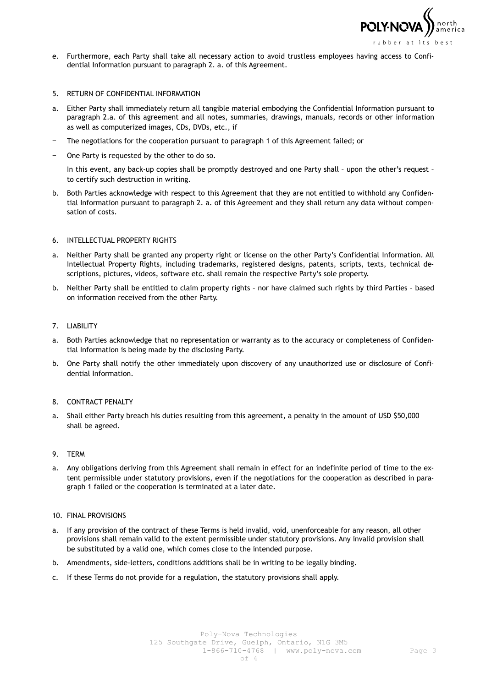

e. Furthermore, each Party shall take all necessary action to avoid trustless employees having access to Confidential Information pursuant to paragraph 2. a. of this Agreement.

#### 5. RETURN OF CONFIDENTIAL INFORMATION

- a. Either Party shall immediately return all tangible material embodying the Confidential Information pursuant to paragraph 2.a. of this agreement and all notes, summaries, drawings, manuals, records or other information as well as computerized images, CDs, DVDs, etc., if
- The negotiations for the cooperation pursuant to paragraph 1 of this Agreement failed; or
- One Party is requested by the other to do so.

In this event, any back-up copies shall be promptly destroyed and one Party shall - upon the other's request to certify such destruction in writing.

b. Both Parties acknowledge with respect to this Agreement that they are not entitled to withhold any Confidential Information pursuant to paragraph 2. a. of this Agreement and they shall return any data without compensation of costs.

## 6. INTELLECTUAL PROPERTY RIGHTS

- a. Neither Party shall be granted any property right or license on the other Party's Confidential Information. All Intellectual Property Rights, including trademarks, registered designs, patents, scripts, texts, technical descriptions, pictures, videos, software etc. shall remain the respective Party's sole property.
- b. Neither Party shall be entitled to claim property rights nor have claimed such rights by third Parties based on information received from the other Party.

## 7. LIABILITY

- a. Both Parties acknowledge that no representation or warranty as to the accuracy or completeness of Confidential Information is being made by the disclosing Party.
- b. One Party shall notify the other immediately upon discovery of any unauthorized use or disclosure of Confidential Information.

#### 8. CONTRACT PENALTY

a. Shall either Party breach his duties resulting from this agreement, a penalty in the amount of USD \$50,000 shall be agreed.

#### 9. TERM

a. Any obligations deriving from this Agreement shall remain in effect for an indefinite period of time to the extent permissible under statutory provisions, even if the negotiations for the cooperation as described in paragraph 1 failed or the cooperation is terminated at a later date.

#### 10. FINAL PROVISIONS

- a. If any provision of the contract of these Terms is held invalid, void, unenforceable for any reason, all other provisions shall remain valid to the extent permissible under statutory provisions. Any invalid provision shall be substituted by a valid one, which comes close to the intended purpose.
- b. Amendments, side-letters, conditions additions shall be in writing to be legally binding.
- c. If these Terms do not provide for a regulation, the statutory provisions shall apply.